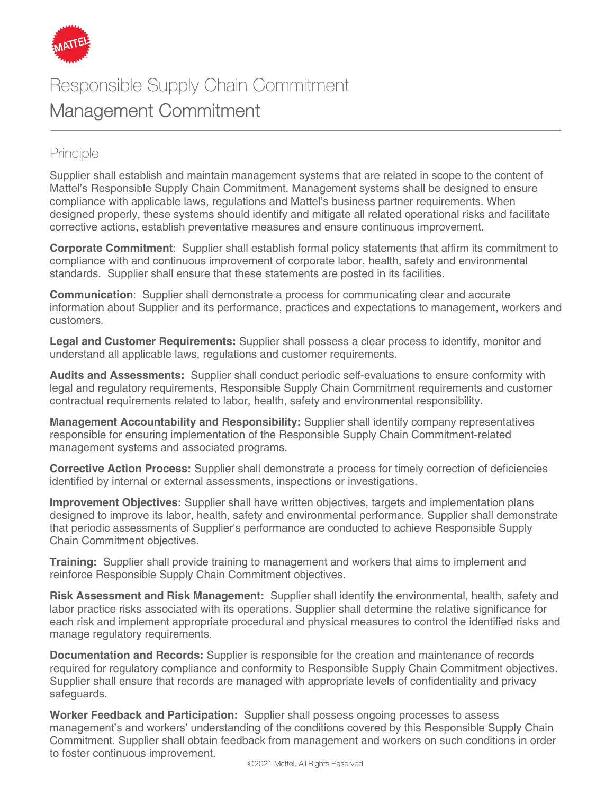

## Responsible Supply Chain Commitment Management Commitment

## Principle

Supplier shall establish and maintain management systems that are related in scope to the content of Mattel's Responsible Supply Chain Commitment. Management systems shall be designed to ensure compliance with applicable laws, regulations and Mattel's business partner requirements. When designed properly, these systems should identify and mitigate all related operational risks and facilitate corrective actions, establish preventative measures and ensure continuous improvement.

**Corporate Commitment**: Supplier shall establish formal policy statements that affirm its commitment to compliance with and continuous improvement of [corporate labor, health, safety and environmental](http://www.arysontechnologies.com/)  [standards. Supplier shall ensure that these statements are posted in its facilities.](http://www.arysontechnologies.com/)

**Communication**: Supplier shall demonstrate a process for communicating clear and accurate information about Supplier and its performance, [practices and expectations to management, work](http://www.arysontechnologies.com/)ers [and](http://www.arysontechnologies.com/)  [customers.](http://www.arysontechnologies.com/)

**[Legal and Customer Requirements:](http://www.arysontechnologies.com/)** Supplier shall possess a clear process to identify, monitor and understand all applicable laws, regulations and customer requirements.

**[Audits and Assessments:](http://www.arysontechnologies.com/)** [Supplier shall cond](http://www.arysontechnologies.com/)uct [periodic self-evaluations to ensure conformity w](http://www.arysontechnologies.com/)ith [legal and regulatory requirements, Respons](http://www.arysontechnologies.com/)ible Supply Chain Commitment requirements and [customer](http://www.arysontechnologies.com/)  [contractual requirements related to lab](http://www.arysontechnologies.com/)or, [health, safety and environmental responsibility.](http://www.arysontechnologies.com/)

**[Management Accountability and Responsibility:](http://www.arysontechnologies.com/)** [Supplier shall identify company representatives](http://www.arysontechnologies.com/)  [responsible for ensuring implementation of the Responsible Supply Chain Commitment-related](http://www.arysontechnologies.com/)  [management systems and associated programs.](http://www.arysontechnologies.com/) 

**Corrective Action Proces[s:](http://www.arysontechnologies.com/)** Supplier shall [demonstrate a process for timely correction](http://www.arysontechnologies.com/) of deficiencies identified by internal or external [assessments, inspections or investigations.](http://www.arysontechnologies.com/)

**[Improvement Objectives:](http://www.arysontechnologies.com/)** [Supplier shall have written objectives, targets and implementation plans](http://www.arysontechnologies.com/)  [designed to improve its labor, health, safety and environmental performance. Supplier shall d](http://www.arysontechnologies.com/)emonstrate that periodic assessments of [Supplier's performance are conducted to achieve R](http://www.arysontechnologies.com/)esponsible Supply Chain Commitment objectives.

**[Training:](http://www.arysontechnologies.com/)** [Supplier shall provide training](http://www.arysontechnologies.com/) to [management and workers that aims to impleme](http://www.arysontechnologies.com/)nt and reinforce Responsible Supply Chain [Commitment objectives.](http://www.arysontechnologies.com/) 

**Risk Assessment and Risk Management:** Supplier shall identify the environmental, health, safety and labor practice risks associated with its operations. Supplier shall determine the relative significance for each risk and implement appropriate procedural and physical measures to control the identified risks and manage regulatory requirements.

**Documentation and Record[s:](http://www.arysontechnologies.com/)** [Supplier is responsible for the creation and maintenance](http://www.arysontechnologies.com/) of [records](http://www.arysontechnologies.com/)  [required for regulatory compliance a](http://www.arysontechnologies.com/)nd conformity to Responsible Supply Chain Commitment objectives. Supplier shall ensure that records are managed with appropriate levels of confidentiality and privacy safeguards.

**Worker Feedback and Participation:** Supplier shall possess ongoing processes to assess management's and workers' understanding of the conditions covered by this Responsible Supply Chain Commitment. Supplier shall obtain feedback from management and workers on such conditions in order to foster continuous improvement.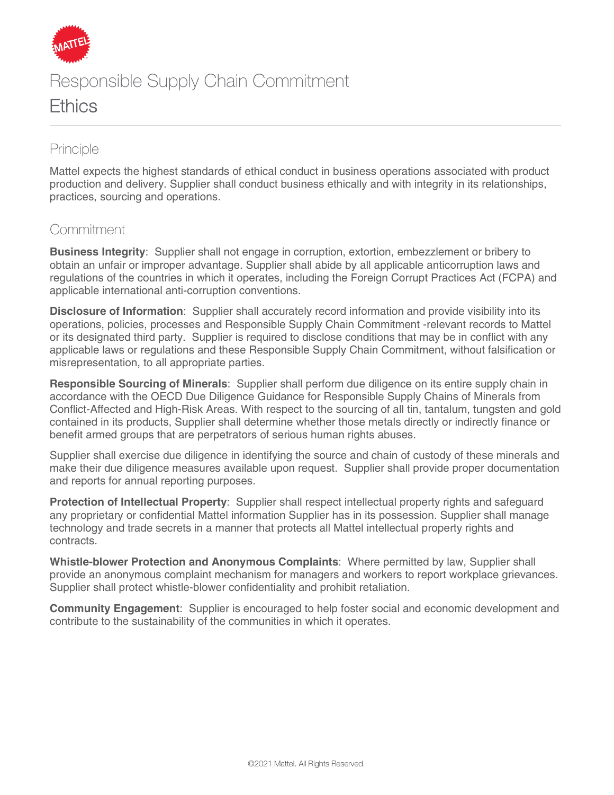

# Responsible Supply Chain Commitment **Ethics**

### Principle

Mattel expects the highest standards of ethical conduct in business operations associated with product production and delivery. Supplier shall conduct business ethically and with integrity in its relationships, practices, sourcing and operations.

### Commitment

**Business Integrity**: Supplier shall not engage in corruption, extortion, embezzlement or bribery to obtain an unfair or improper advantage. Supplier shall abide by all applicable anticorruption laws and regulations of the countries in which it operates, including the Foreign Corrupt Practices Act (FCPA) and applicable international anti-corruption conventions.

**Disclosure of Information**: Supplier shall accurately record information and provide visibility into its operations, policies, processes and Responsible Supply Chain Commitment -relevant records to Mattel or its designated third party. Supplier is required to disclose conditions that may be in conflict with any applicable laws or regulations and these Responsible Supply Chain Commitment, without falsification or misrepresentation, to all appropriate parties.

**Responsible Sourcing of Minerals**: Supplier shall perform due diligence on its entire supply chain in accordance with the OECD Due Diligence Guidance for Responsible Supply Chains of Minerals from Conflict-Affected and High-Risk Areas. With respect to the sourcing of all tin, tantalum, tungsten and gold contained in its products, Supplier shall determine whether those metals directly or indirectly finance or benefit armed groups that are perpetrators of serious human rights abuses.

Supplier shall exercise due diligence in identifying the source and chain of custody of these minerals and make their due diligence measures available upon request. Supplier shall provide proper documentation and reports for annual reporting purposes.

**Protection of Intellectual Property**: Supplier shall respect intellectual property rights and safeguard any proprietary or confidential Mattel information Supplier has in its possession. Supplier shall manage technology and trade secrets in a manner that protects all Mattel intellectual property rights and contracts.

**Whistle-blower Protection and Anonymous Complaints**: Where permitted by law, Supplier shall provide an anonymous complaint mechanism for managers and workers to report workplace grievances. Supplier shall protect whistle-blower confidentiality and prohibit retaliation.

**Community Engagement**: Supplier is encouraged to help foster social and economic development and contribute to the sustainability of the communities in which it operates.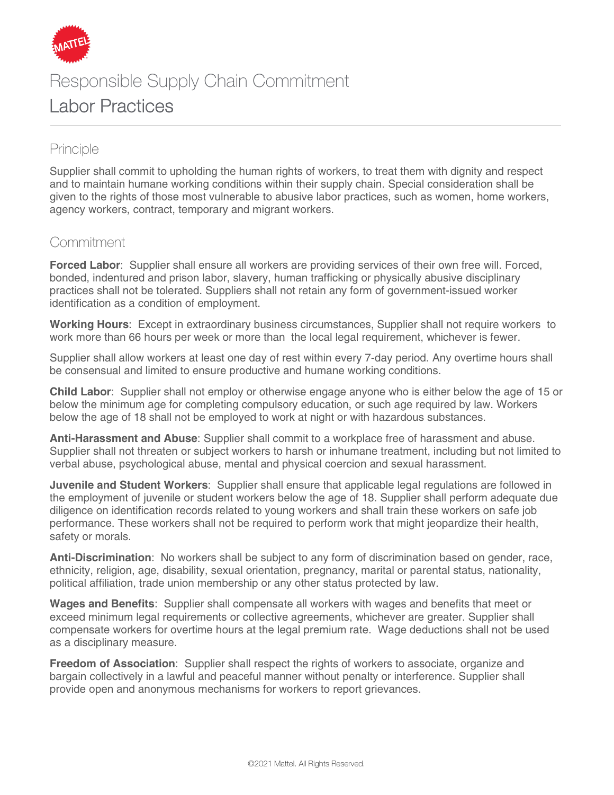

# Responsible Supply Chain Commitment Labor Practices

### Principle

Supplier shall commit to upholding the human rights of workers, to treat them with dignity and respect and to maintain humane working conditions within their supply chain. Special consideration shall be given to the rights of those most vulnerable to abusive labor practices, such as women, home workers, agency workers, contract, temporary and migrant workers.

#### Commitment

**Forced Labor**: Supplier shall ensure all workers are providing services of their own free will. Forced, bonded, indentured and prison labor, slavery, human trafficking or physically abusive disciplinary practices shall not be tolerated. Suppliers shall not retain any form of government-issued worker identification as a condition of employment.

**Working Hours**: Except in extraordinary business circumstances, Supplier shall not require workers to work more than 66 hours per week or more than the local legal requirement, whichever is fewer.

Supplier shall allow workers at least one day of rest within every 7-day period. Any overtime hours shall be consensual and limited to ensure productive and humane working conditions.

**Child Labor**: Supplier shall not employ or otherwise engage anyone who is either below the age of 15 or below the minimum age for completing compulsory education, or such age required by law. Workers below the age of 18 shall not be employed to work at night or with hazardous substances.

**Anti-Harassment and Abuse**: Supplier shall commit to a workplace free of harassment and abuse. Supplier shall not threaten or subject workers to harsh or inhumane treatment, including but not limited to verbal abuse, psychological abuse, mental and physical coercion and sexual harassment.

**Juvenile and Student Workers**: Supplier shall ensure that applicable legal regulations are followed in the employment of juvenile or student workers below the age of 18. Supplier shall perform adequate due diligence on identification records related to young workers and shall train these workers on safe job performance. These workers shall not be required to perform work that might jeopardize their health, safety or morals.

**Anti-Discrimination**: No workers shall be subject to any form of discrimination based on gender, race, ethnicity, religion, age, disability, sexual orientation, pregnancy, marital or parental status, nationality, political affiliation, trade union membership or any other status protected by law.

**Wages and Benefits**: Supplier shall compensate all workers with wages and benefits that meet or exceed minimum legal requirements or collective agreements, whichever are greater. Supplier shall compensate workers for overtime hours at the legal premium rate. Wage deductions shall not be used as a disciplinary measure.

**Freedom of Association**: Supplier shall respect the rights of workers to associate, organize and bargain collectively in a lawful and peaceful manner without penalty or interference. Supplier shall provide open and anonymous mechanisms for workers to report grievances.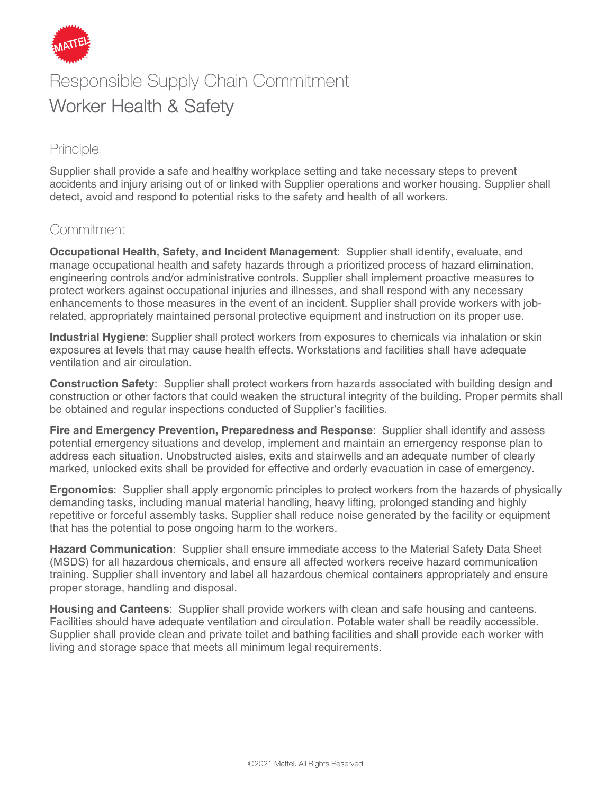

# Responsible Supply Chain Commitment Worker Health & Safety

## Principle

Supplier shall provide a safe and healthy workplace setting and take necessary steps to prevent accidents and injury arising out of or linked with Supplier operations and worker housing. Supplier shall detect, avoid and respond to potential risks to the safety and health of all workers.

### Commitment

**Occupational Health, Safety, and Incident Management**: Supplier shall identify, evaluate, and manage occupational health and safety hazards through a prioritized process of hazard elimination, engineering controls and/or administrative controls. Supplier shall implement proactive measures to protect workers against occupational injuries and illnesses, and shall respond with any necessary enhancements to those measures in the event of an incident. Supplier shall provide workers with jobrelated, appropriately maintained personal protective equipment and instruction on its proper use.

**Industrial Hygiene**: Supplier shall protect workers from exposures to chemicals via inhalation or skin exposures at levels that may cause health effects. Workstations and facilities shall have adequate ventilation and air circulation.

**Construction Safety**: Supplier shall protect workers from hazards associated with building design and construction or other factors that could weaken the structural integrity of the building. Proper permits shall be obtained and regular inspections conducted of Supplier's facilities.

**Fire and Emergency Prevention, Preparedness and Response**: Supplier shall identify and assess potential emergency situations and develop, implement and maintain an emergency response plan to address each situation. Unobstructed aisles, exits and stairwells and an adequate number of clearly marked, unlocked exits shall be provided for effective and orderly evacuation in case of emergency.

**Ergonomics**: Supplier shall apply ergonomic principles to protect workers from the hazards of physically demanding tasks, including manual material handling, heavy lifting, prolonged standing and highly repetitive or forceful assembly tasks. Supplier shall reduce noise generated by the facility or equipment that has the potential to pose ongoing harm to the workers.

**Hazard Communication**: Supplier shall ensure immediate access to the Material Safety Data Sheet (MSDS) for all hazardous chemicals, and ensure all affected workers receive hazard communication training. Supplier shall inventory and label all hazardous chemical containers appropriately and ensure proper storage, handling and disposal.

**Housing and Canteens**: Supplier shall provide workers with clean and safe housing and canteens. Facilities should have adequate ventilation and circulation. Potable water shall be readily accessible. Supplier shall provide clean and private toilet and bathing facilities and shall provide each worker with living and storage space that meets all minimum legal requirements.